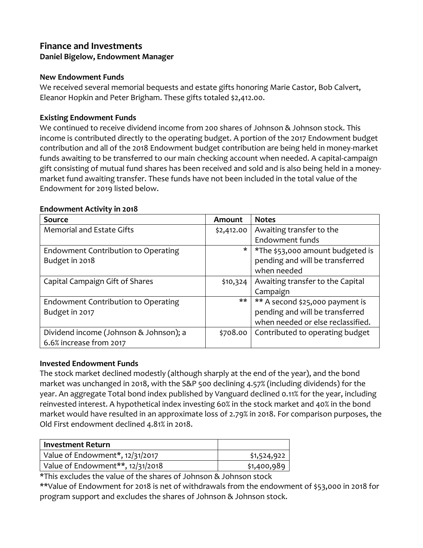# **Finance and Investments Daniel Bigelow, Endowment Manager**

#### **New Endowment Funds**

We received several memorial bequests and estate gifts honoring Marie Castor, Bob Calvert, Eleanor Hopkin and Peter Brigham. These gifts totaled \$2,412.00.

## **Existing Endowment Funds**

We continued to receive dividend income from 200 shares of Johnson & Johnson stock. This income is contributed directly to the operating budget. A portion of the 2017 Endowment budget contribution and all of the 2018 Endowment budget contribution are being held in money-market funds awaiting to be transferred to our main checking account when needed. A capital-campaign gift consisting of mutual fund shares has been received and sold and is also being held in a moneymarket fund awaiting transfer. These funds have not been included in the total value of the Endowment for 2019 listed below.

#### **Endowment Activity in 2018**

| <b>Source</b>                          | Amount     | <b>Notes</b>                            |
|----------------------------------------|------------|-----------------------------------------|
| <b>Memorial and Estate Gifts</b>       | \$2,412.00 | Awaiting transfer to the                |
|                                        |            | Endowment funds                         |
| Endowment Contribution to Operating    |            | $\mid$ *The \$53,000 amount budgeted is |
| Budget in 2018                         |            | pending and will be transferred         |
|                                        |            | when needed                             |
| Capital Campaign Gift of Shares        | \$10,324   | Awaiting transfer to the Capital        |
|                                        |            | Campaign                                |
| Endowment Contribution to Operating    | **         | ** A second \$25,000 payment is         |
| Budget in 2017                         |            | pending and will be transferred         |
|                                        |            | when needed or else reclassified.       |
| Dividend income (Johnson & Johnson); a | \$708.00   | Contributed to operating budget         |
| 6.6% increase from 2017                |            |                                         |

#### **Invested Endowment Funds**

The stock market declined modestly (although sharply at the end of the year), and the bond market was unchanged in 2018, with the S&P 500 declining 4.57% (including dividends) for the year. An aggregate Total bond index published by Vanguard declined 0.11% for the year, including reinvested interest. A hypothetical index investing 60% in the stock market and 40% in the bond market would have resulted in an approximate loss of 2.79% in 2018. For comparison purposes, the Old First endowment declined 4.81% in 2018.

| Investment Return                |             |
|----------------------------------|-------------|
| Value of Endowment*, 12/31/2017  | \$1,524,922 |
| Value of Endowment**, 12/31/2018 | \$1,400,989 |

\*This excludes the value of the shares of Johnson & Johnson stock

\*\*Value of Endowment for 2018 is net of withdrawals from the endowment of \$53,000 in 2018 for program support and excludes the shares of Johnson & Johnson stock.